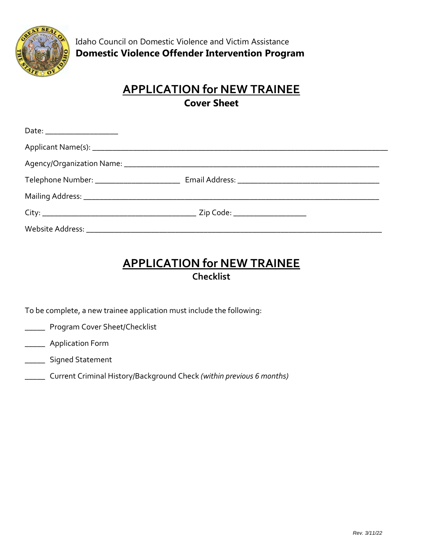

## **APPLICATION for NEW TRAINEE Cover Sheet**

| Date: _______________________ |  |
|-------------------------------|--|
|                               |  |
|                               |  |
|                               |  |
|                               |  |
|                               |  |
|                               |  |

### **APPLICATION for NEW TRAINEE Checklist**

To be complete, a new trainee application must include the following:

- **Nogram Cover Sheet/Checklist**
- **\_\_\_\_\_\_** Application Form
- \_\_\_\_\_ Signed Statement
- \_\_\_\_\_ Current Criminal History/Background Check *(within previous 6 months)*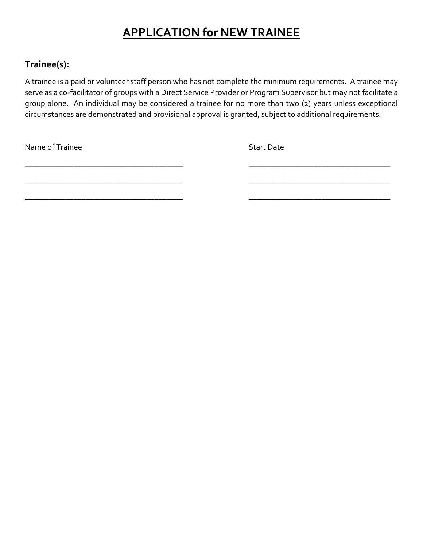# **APPLICATION for NEW TRAINEE**

#### **Trainee(s):**

A trainee is a paid or volunteer staff person who has not complete the minimum requirements. A trainee may serve as a co-facilitator of groups with a Direct Service Provider or Program Supervisor but may not facilitate a group alone. An individual may be considered a trainee for no more than two (2) years unless exceptional circumstances are demonstrated and provisional approval is granted, subject to additional requirements.

\_\_\_\_\_\_\_\_\_\_\_\_\_\_\_\_\_\_\_\_\_\_\_\_\_\_\_\_\_\_\_\_\_\_\_\_\_\_\_ \_\_\_\_\_\_\_\_\_\_\_\_\_\_\_\_\_\_\_\_\_\_\_\_\_\_\_\_\_\_\_\_\_\_\_

\_\_\_\_\_\_\_\_\_\_\_\_\_\_\_\_\_\_\_\_\_\_\_\_\_\_\_\_\_\_\_\_\_\_\_\_\_\_\_ \_\_\_\_\_\_\_\_\_\_\_\_\_\_\_\_\_\_\_\_\_\_\_\_\_\_\_\_\_\_\_\_\_\_\_

Name of Trainee Start Date Start Date Start Date Start Date

\_\_\_\_\_\_\_\_\_\_\_\_\_\_\_\_\_\_\_\_\_\_\_\_\_\_\_\_\_\_\_\_\_\_\_\_\_\_\_ \_\_\_\_\_\_\_\_\_\_\_\_\_\_\_\_\_\_\_\_\_\_\_\_\_\_\_\_\_\_\_\_\_\_\_